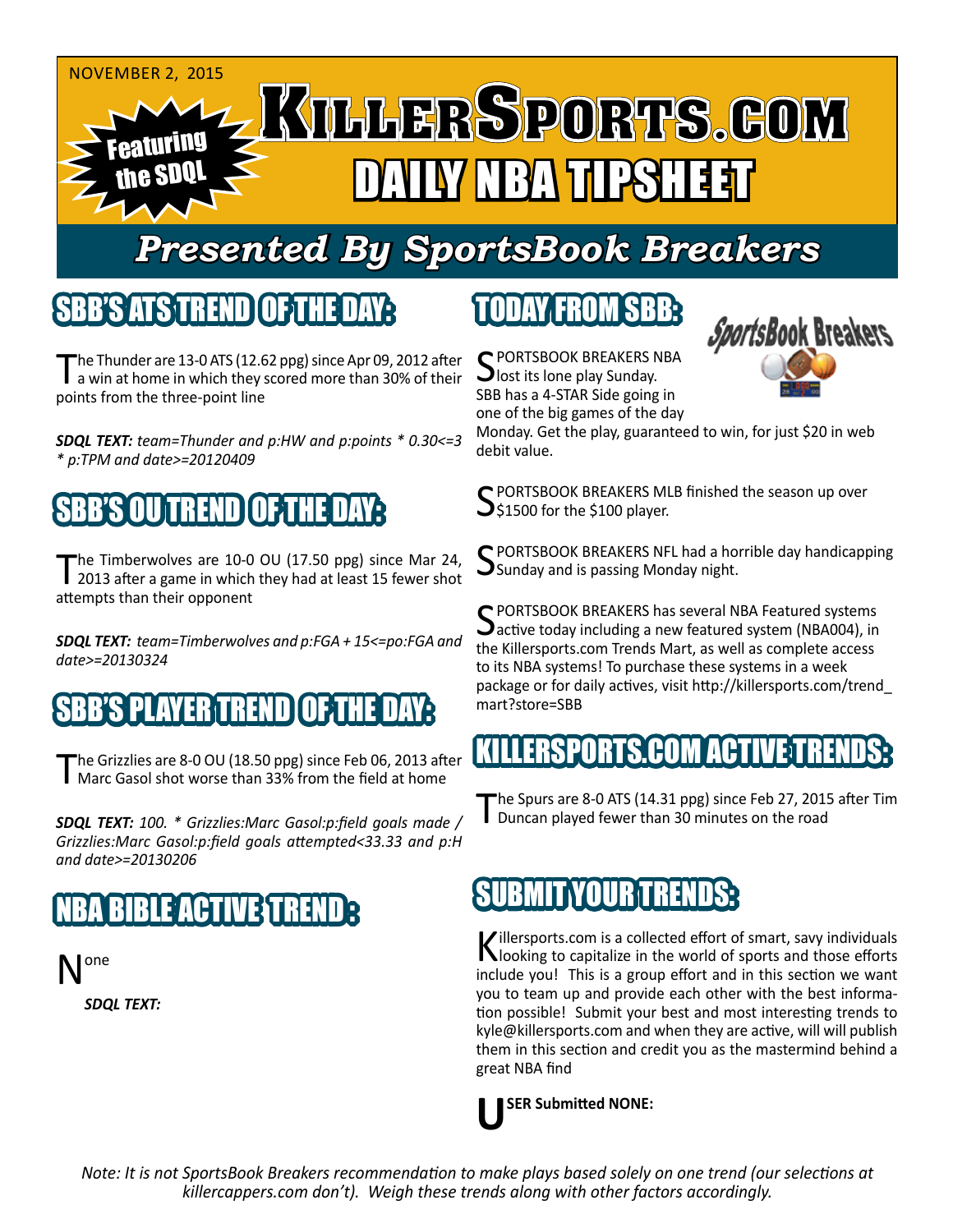

## *Presented By SportsBook Breakers*

#### SBB'S ATSTREN

The Thunder are 13-0 ATS (12.62 ppg) since Apr 09, 2012 after a win at home in which they scored more than 30% of their points from the three-point line

*SDQL TEXT: team=Thunder and p:HW and p:points \* 0.30<=3 \* p:TPM and date>=20120409*

### SBB'S OU TREND OF THE DAY:

The Timberwolves are 10-0 OU (17.50 ppg) since Mar 24, 2013 after a game in which they had at least 15 fewer shot attempts than their opponent

*SDQL TEXT: team=Timberwolves and p:FGA + 15<=po:FGA and date>=20130324*

### S PLAYER TREN

The Grizzlies are 8-0 OU (18.50 ppg) since Feb 06, 2013 after<br>Marc Gasol shot worse than 33% from the field at home

*SDQL TEXT: 100. \* Grizzlies:Marc Gasol:p:field goals made / Grizzlies:Marc Gasol:p:field goals attempted<33.33 and p:H and date>=20130206*

### **BIBLE ACTIVE TREND**

one *SDQL TEXT:* 

## TODAY FROM SBB:

C PORTSBOOK BREAKERS NBA **J** lost its lone play Sunday. SBB has a 4-STAR Side going in one of the big games of the day



Monday. Get the play, guaranteed to win, for just \$20 in web debit value.

 $\bigcap$  PORTSBOOK BREAKERS MLB finished the season up over  $\bigcup$ \$1500 for the \$100 player.

SPORTSBOOK BREAKERS NFL had a horrible day handicapping **S**unday and is passing Monday night.

C PORTSBOOK BREAKERS has several NBA Featured systems **D** active today including a new featured system (NBA004), in the Killersports.com Trends Mart, as well as complete access to its NBA systems! To purchase these systems in a week package or for daily actives, visit http://killersports.com/trend\_ mart?store=SBB

#### KILLERSPORTS.COM ACTIVE:T

The Spurs are 8-0 ATS (14.31 ppg) since Feb 27, 2015 after Tim Duncan played fewer than 30 minutes on the road

#### IBMIT YOUR TREND

Killersports.com is a collected effort of smart, savy individuals<br>Nooking to capitalize in the world of sports and those efforts include you! This is a group effort and in this section we want you to team up and provide each other with the best information possible! Submit your best and most interesting trends to kyle@killersports.com and when they are active, will will publish them in this section and credit you as the mastermind behind a great NBA find

**USER Submitted NONE:**

*Note: It is not SportsBook Breakers recommendation to make plays based solely on one trend (our selections at killercappers.com don't). Weigh these trends along with other factors accordingly.*